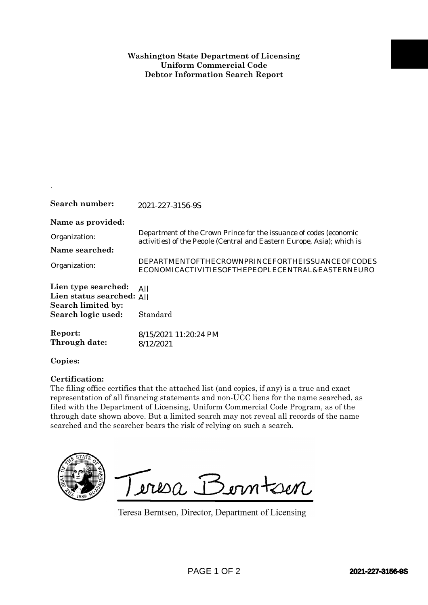## **Washington State Department of Licensing Uniform Commercial Code Debtor Information Search Report**

| Search number:                                                                           | 2021-227-3156-9S                                                                                                                                                                                                                                                                                                                                                                                                                              |
|------------------------------------------------------------------------------------------|-----------------------------------------------------------------------------------------------------------------------------------------------------------------------------------------------------------------------------------------------------------------------------------------------------------------------------------------------------------------------------------------------------------------------------------------------|
| Name as provided:<br>Organization:<br>Name searched:<br>Organization:                    | Department of the Crown Prince for the issuance of codes (economic<br>activities) of the People (Central and Eastern Europe, Asia); which is<br>DEPARTMENTOFTHECROWNPRINCEFORTHEISSUANCEOFCODES<br>ECONOMICACTIVITIESOFTHEPEOPLECENTRAL&EASTERNEURO                                                                                                                                                                                           |
| Lien type searched:<br>Lien status searched:<br>Search limited by:<br>Search logic used: | All<br>All<br>Standard                                                                                                                                                                                                                                                                                                                                                                                                                        |
| Report:<br>Through date:                                                                 | 8/15/2021 11:20:24 PM<br>8/12/2021                                                                                                                                                                                                                                                                                                                                                                                                            |
| Copies:                                                                                  |                                                                                                                                                                                                                                                                                                                                                                                                                                               |
| Certification:                                                                           | The filing office certifies that the attached list (and copies, if any) is a true and exact<br>representation of all financing statements and non-UCC liens for the name searched, as<br>filed with the Department of Licensing, Uniform Commercial Code Program, as of the<br>through date shown above. But a limited search may not reveal all records of the name<br>searched and the searcher bears the risk of relying on such a search. |
|                                                                                          | Teresa Berntsen<br>Teresa Berntsen, Director, Department of Licensing                                                                                                                                                                                                                                                                                                                                                                         |
|                                                                                          | PAGE 1 OF 2<br>2021-227-3156-9S                                                                                                                                                                                                                                                                                                                                                                                                               |

.

## **Certification:**